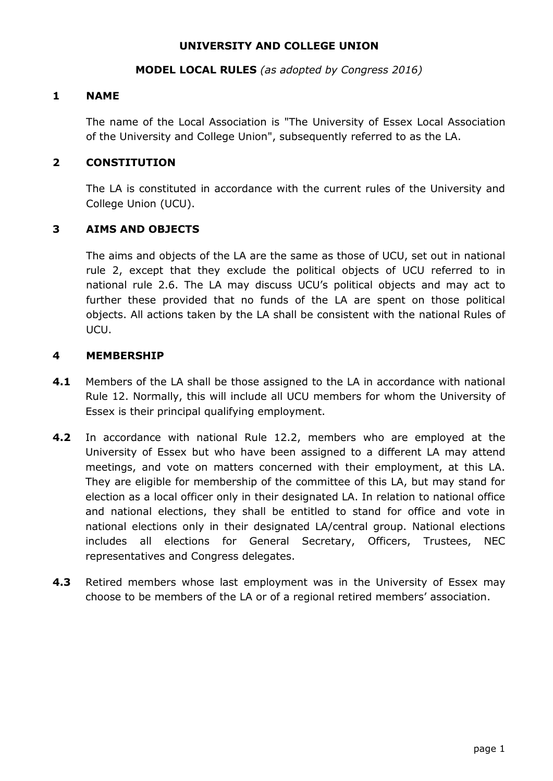#### **UNIVERSITY AND COLLEGE UNION**

#### **MODEL LOCAL RULES** *(as adopted by Congress 2016)*

#### **1 NAME**

The name of the Local Association is "The University of Essex Local Association of the University and College Union", subsequently referred to as the LA.

#### **2 CONSTITUTION**

The LA is constituted in accordance with the current rules of the University and College Union (UCU).

### **3 AIMS AND OBJECTS**

The aims and objects of the LA are the same as those of UCU, set out in national rule 2, except that they exclude the political objects of UCU referred to in national rule 2.6. The LA may discuss UCU's political objects and may act to further these provided that no funds of the LA are spent on those political objects. All actions taken by the LA shall be consistent with the national Rules of UCU.

#### **4 MEMBERSHIP**

- **4.1** Members of the LA shall be those assigned to the LA in accordance with national Rule 12. Normally, this will include all UCU members for whom the University of Essex is their principal qualifying employment.
- **4.2** In accordance with national Rule 12.2, members who are employed at the University of Essex but who have been assigned to a different LA may attend meetings, and vote on matters concerned with their employment, at this LA. They are eligible for membership of the committee of this LA, but may stand for election as a local officer only in their designated LA. In relation to national office and national elections, they shall be entitled to stand for office and vote in national elections only in their designated LA/central group. National elections includes all elections for General Secretary, Officers, Trustees, NEC representatives and Congress delegates.
- **4.3** Retired members whose last employment was in the University of Essex may choose to be members of the LA or of a regional retired members' association.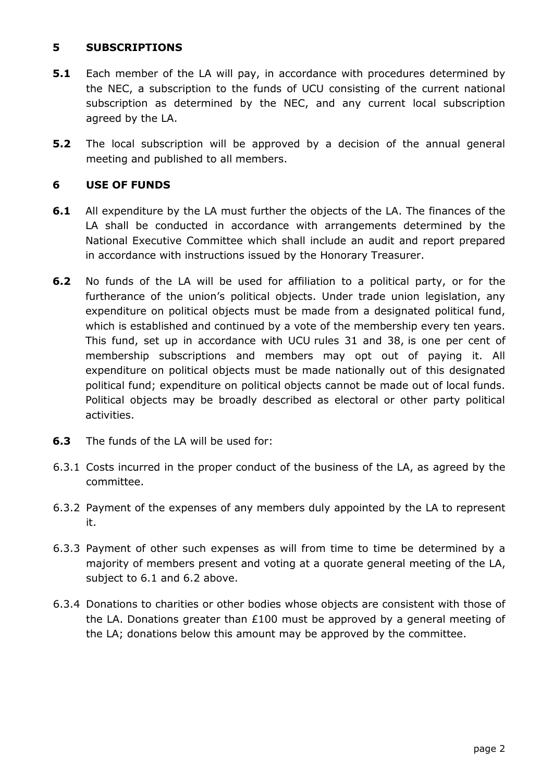### **5 SUBSCRIPTIONS**

- **5.1** Each member of the LA will pay, in accordance with procedures determined by the NEC, a subscription to the funds of UCU consisting of the current national subscription as determined by the NEC, and any current local subscription agreed by the LA.
- **5.2** The local subscription will be approved by a decision of the annual general meeting and published to all members.

### **6 USE OF FUNDS**

- **6.1** All expenditure by the LA must further the objects of the LA. The finances of the LA shall be conducted in accordance with arrangements determined by the National Executive Committee which shall include an audit and report prepared in accordance with instructions issued by the Honorary Treasurer.
- **6.2** No funds of the LA will be used for affiliation to a political party, or for the furtherance of the union's political objects. Under trade union legislation, any expenditure on political objects must be made from a designated political fund, which is established and continued by a vote of the membership every ten years. This fund, set up in accordance with UCU rules 31 and 38, is one per cent of membership subscriptions and members may opt out of paying it. All expenditure on political objects must be made nationally out of this designated political fund; expenditure on political objects cannot be made out of local funds. Political objects may be broadly described as electoral or other party political activities.
- **6.3** The funds of the LA will be used for:
- 6.3.1 Costs incurred in the proper conduct of the business of the LA, as agreed by the committee.
- 6.3.2 Payment of the expenses of any members duly appointed by the LA to represent it.
- 6.3.3 Payment of other such expenses as will from time to time be determined by a majority of members present and voting at a quorate general meeting of the LA, subject to 6.1 and 6.2 above.
- 6.3.4 Donations to charities or other bodies whose objects are consistent with those of the LA. Donations greater than £100 must be approved by a general meeting of the LA; donations below this amount may be approved by the committee.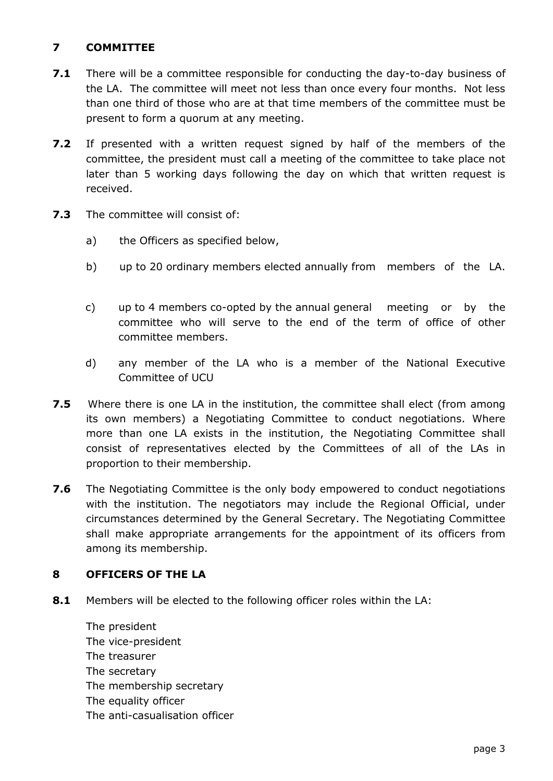# **7 COMMITTEE**

- **7.1** There will be a committee responsible for conducting the day-to-day business of the LA. The committee will meet not less than once every four months. Not less than one third of those who are at that time members of the committee must be present to form a quorum at any meeting.
- **7.2** If presented with a written request signed by half of the members of the committee, the president must call a meeting of the committee to take place not later than 5 working days following the day on which that written request is received.
- **7.3** The committee will consist of:
	- a) the Officers as specified below,
	- b) up to 20 ordinary members elected annually from members of the LA.
	- c) up to 4 members co-opted by the annual general meeting or by the committee who will serve to the end of the term of office of other committee members.
	- d) any member of the LA who is a member of the National Executive Committee of UCU
- **7.5** Where there is one LA in the institution, the committee shall elect (from among its own members) a Negotiating Committee to conduct negotiations. Where more than one LA exists in the institution, the Negotiating Committee shall consist of representatives elected by the Committees of all of the LAs in proportion to their membership.
- **7.6** The Negotiating Committee is the only body empowered to conduct negotiations with the institution. The negotiators may include the Regional Official, under circumstances determined by the General Secretary. The Negotiating Committee shall make appropriate arrangements for the appointment of its officers from among its membership.

## **8 OFFICERS OF THE LA**

**8.1** Members will be elected to the following officer roles within the LA:

The president The vice-president The treasurer The secretary The membership secretary The equality officer The anti-casualisation officer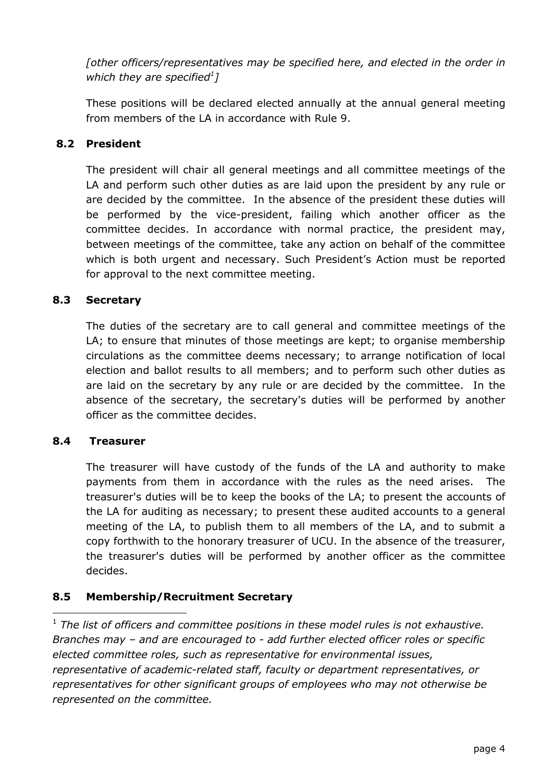*[other officers/representatives may be specified here, and elected in the order in which they are specified<sup>1</sup> ]*

These positions will be declared elected annually at the annual general meeting from members of the LA in accordance with Rule 9.

# **8.2 President**

The president will chair all general meetings and all committee meetings of the LA and perform such other duties as are laid upon the president by any rule or are decided by the committee. In the absence of the president these duties will be performed by the vice-president, failing which another officer as the committee decides. In accordance with normal practice, the president may, between meetings of the committee, take any action on behalf of the committee which is both urgent and necessary. Such President's Action must be reported for approval to the next committee meeting.

## **8.3 Secretary**

The duties of the secretary are to call general and committee meetings of the LA; to ensure that minutes of those meetings are kept; to organise membership circulations as the committee deems necessary; to arrange notification of local election and ballot results to all members; and to perform such other duties as are laid on the secretary by any rule or are decided by the committee. In the absence of the secretary, the secretary's duties will be performed by another officer as the committee decides.

#### **8.4 Treasurer**

The treasurer will have custody of the funds of the LA and authority to make payments from them in accordance with the rules as the need arises. The treasurer's duties will be to keep the books of the LA; to present the accounts of the LA for auditing as necessary; to present these audited accounts to a general meeting of the LA, to publish them to all members of the LA, and to submit a copy forthwith to the honorary treasurer of UCU. In the absence of the treasurer, the treasurer's duties will be performed by another officer as the committee decides.

## **8.5 Membership/Recruitment Secretary**

-<sup>1</sup> The list of officers and committee positions in these model rules is not exhaustive. *Branches may – and are encouraged to - add further elected officer roles or specific elected committee roles, such as representative for environmental issues, representative of academic-related staff, faculty or department representatives, or representatives for other significant groups of employees who may not otherwise be represented on the committee.*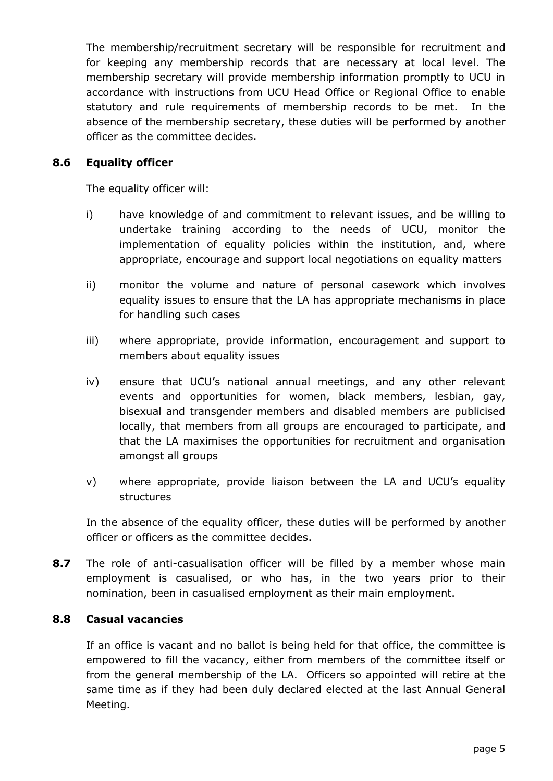The membership/recruitment secretary will be responsible for recruitment and for keeping any membership records that are necessary at local level. The membership secretary will provide membership information promptly to UCU in accordance with instructions from UCU Head Office or Regional Office to enable statutory and rule requirements of membership records to be met. In the absence of the membership secretary, these duties will be performed by another officer as the committee decides.

### **8.6 Equality officer**

The equality officer will:

- i) have knowledge of and commitment to relevant issues, and be willing to undertake training according to the needs of UCU, monitor the implementation of equality policies within the institution, and, where appropriate, encourage and support local negotiations on equality matters
- ii) monitor the volume and nature of personal casework which involves equality issues to ensure that the LA has appropriate mechanisms in place for handling such cases
- iii) where appropriate, provide information, encouragement and support to members about equality issues
- iv) ensure that UCU's national annual meetings, and any other relevant events and opportunities for women, black members, lesbian, gay, bisexual and transgender members and disabled members are publicised locally, that members from all groups are encouraged to participate, and that the LA maximises the opportunities for recruitment and organisation amongst all groups
- v) where appropriate, provide liaison between the LA and UCU's equality structures

In the absence of the equality officer, these duties will be performed by another officer or officers as the committee decides.

**8.7** The role of anti-casualisation officer will be filled by a member whose main employment is casualised, or who has, in the two years prior to their nomination, been in casualised employment as their main employment.

#### **8.8 Casual vacancies**

If an office is vacant and no ballot is being held for that office, the committee is empowered to fill the vacancy, either from members of the committee itself or from the general membership of the LA. Officers so appointed will retire at the same time as if they had been duly declared elected at the last Annual General Meeting.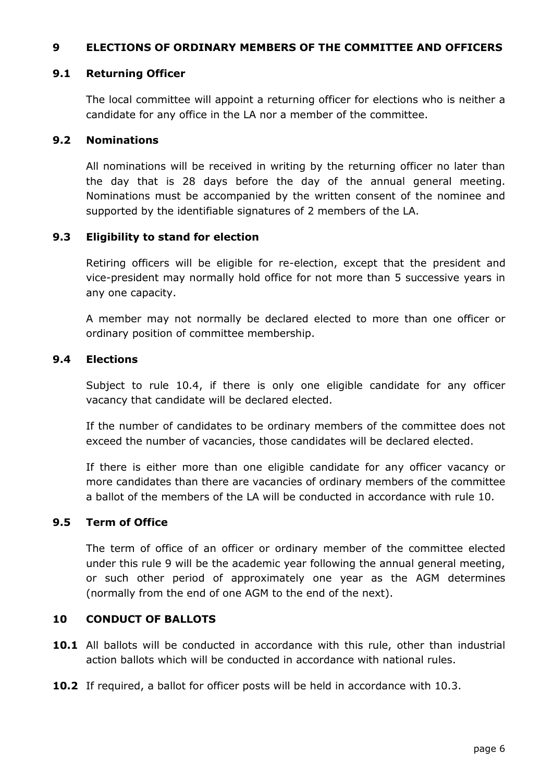#### **9 ELECTIONS OF ORDINARY MEMBERS OF THE COMMITTEE AND OFFICERS**

#### **9.1 Returning Officer**

The local committee will appoint a returning officer for elections who is neither a candidate for any office in the LA nor a member of the committee.

#### **9.2 Nominations**

All nominations will be received in writing by the returning officer no later than the day that is 28 days before the day of the annual general meeting. Nominations must be accompanied by the written consent of the nominee and supported by the identifiable signatures of 2 members of the LA.

#### **9.3 Eligibility to stand for election**

Retiring officers will be eligible for re-election, except that the president and vice-president may normally hold office for not more than 5 successive years in any one capacity.

A member may not normally be declared elected to more than one officer or ordinary position of committee membership.

#### **9.4 Elections**

Subject to rule 10.4, if there is only one eligible candidate for any officer vacancy that candidate will be declared elected.

If the number of candidates to be ordinary members of the committee does not exceed the number of vacancies, those candidates will be declared elected.

If there is either more than one eligible candidate for any officer vacancy or more candidates than there are vacancies of ordinary members of the committee a ballot of the members of the LA will be conducted in accordance with rule 10.

### **9.5 Term of Office**

The term of office of an officer or ordinary member of the committee elected under this rule 9 will be the academic year following the annual general meeting, or such other period of approximately one year as the AGM determines (normally from the end of one AGM to the end of the next).

#### **10 CONDUCT OF BALLOTS**

- **10.1** All ballots will be conducted in accordance with this rule, other than industrial action ballots which will be conducted in accordance with national rules.
- **10.2** If required, a ballot for officer posts will be held in accordance with 10.3.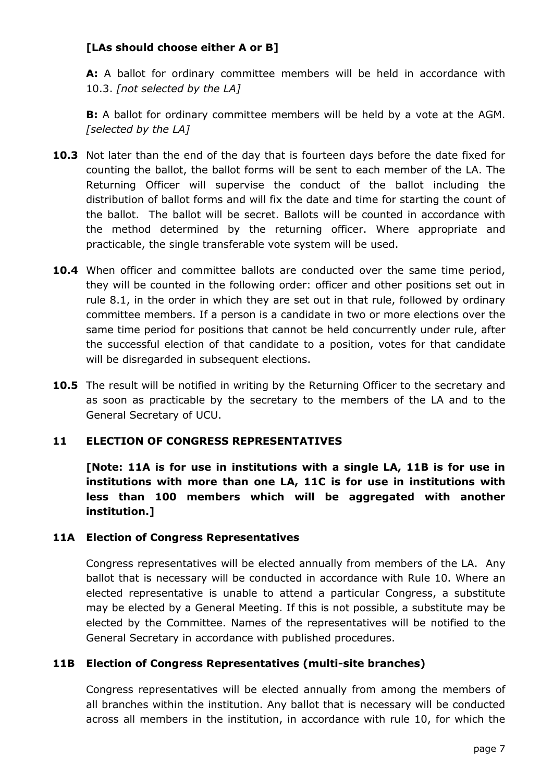# **[LAs should choose either A or B]**

**A:** A ballot for ordinary committee members will be held in accordance with 10.3. *[not selected by the LA]*

**B:** A ballot for ordinary committee members will be held by a vote at the AGM. *[selected by the LA]*

- **10.3** Not later than the end of the day that is fourteen days before the date fixed for counting the ballot, the ballot forms will be sent to each member of the LA. The Returning Officer will supervise the conduct of the ballot including the distribution of ballot forms and will fix the date and time for starting the count of the ballot. The ballot will be secret. Ballots will be counted in accordance with the method determined by the returning officer. Where appropriate and practicable, the single transferable vote system will be used.
- **10.4** When officer and committee ballots are conducted over the same time period, they will be counted in the following order: officer and other positions set out in rule 8.1, in the order in which they are set out in that rule, followed by ordinary committee members. If a person is a candidate in two or more elections over the same time period for positions that cannot be held concurrently under rule, after the successful election of that candidate to a position, votes for that candidate will be disregarded in subsequent elections.
- **10.5** The result will be notified in writing by the Returning Officer to the secretary and as soon as practicable by the secretary to the members of the LA and to the General Secretary of UCU.

## **11 ELECTION OF CONGRESS REPRESENTATIVES**

**[Note: 11A is for use in institutions with a single LA, 11B is for use in institutions with more than one LA, 11C is for use in institutions with less than 100 members which will be aggregated with another institution.]**

#### **11A Election of Congress Representatives**

Congress representatives will be elected annually from members of the LA. Any ballot that is necessary will be conducted in accordance with Rule 10. Where an elected representative is unable to attend a particular Congress, a substitute may be elected by a General Meeting. If this is not possible, a substitute may be elected by the Committee. Names of the representatives will be notified to the General Secretary in accordance with published procedures.

#### **11B Election of Congress Representatives (multi-site branches)**

Congress representatives will be elected annually from among the members of all branches within the institution. Any ballot that is necessary will be conducted across all members in the institution, in accordance with rule 10, for which the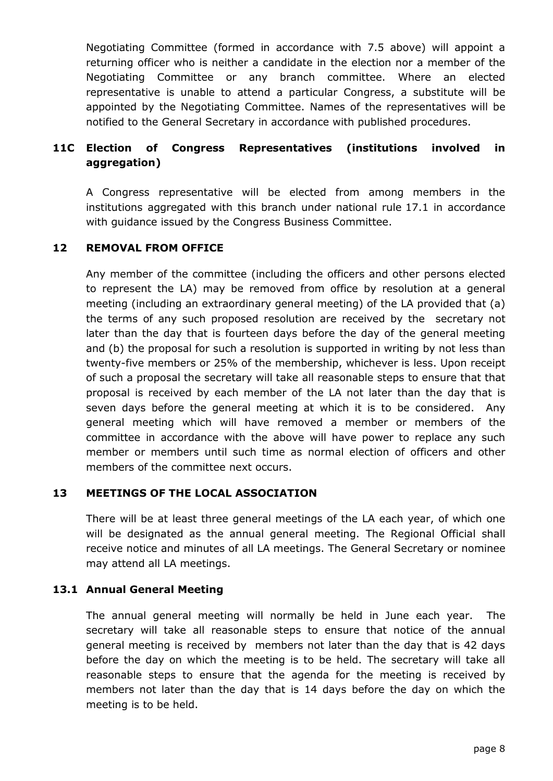Negotiating Committee (formed in accordance with 7.5 above) will appoint a returning officer who is neither a candidate in the election nor a member of the Negotiating Committee or any branch committee. Where an elected representative is unable to attend a particular Congress, a substitute will be appointed by the Negotiating Committee. Names of the representatives will be notified to the General Secretary in accordance with published procedures.

# **11C Election of Congress Representatives (institutions involved in aggregation)**

A Congress representative will be elected from among members in the institutions aggregated with this branch under national rule 17.1 in accordance with guidance issued by the Congress Business Committee.

## **12 REMOVAL FROM OFFICE**

Any member of the committee (including the officers and other persons elected to represent the LA) may be removed from office by resolution at a general meeting (including an extraordinary general meeting) of the LA provided that (a) the terms of any such proposed resolution are received by the secretary not later than the day that is fourteen days before the day of the general meeting and (b) the proposal for such a resolution is supported in writing by not less than twenty-five members or 25% of the membership, whichever is less. Upon receipt of such a proposal the secretary will take all reasonable steps to ensure that that proposal is received by each member of the LA not later than the day that is seven days before the general meeting at which it is to be considered. Any general meeting which will have removed a member or members of the committee in accordance with the above will have power to replace any such member or members until such time as normal election of officers and other members of the committee next occurs.

#### **13 MEETINGS OF THE LOCAL ASSOCIATION**

There will be at least three general meetings of the LA each year, of which one will be designated as the annual general meeting. The Regional Official shall receive notice and minutes of all LA meetings. The General Secretary or nominee may attend all LA meetings.

#### **13.1 Annual General Meeting**

The annual general meeting will normally be held in June each year. The secretary will take all reasonable steps to ensure that notice of the annual general meeting is received by members not later than the day that is 42 days before the day on which the meeting is to be held. The secretary will take all reasonable steps to ensure that the agenda for the meeting is received by members not later than the day that is 14 days before the day on which the meeting is to be held.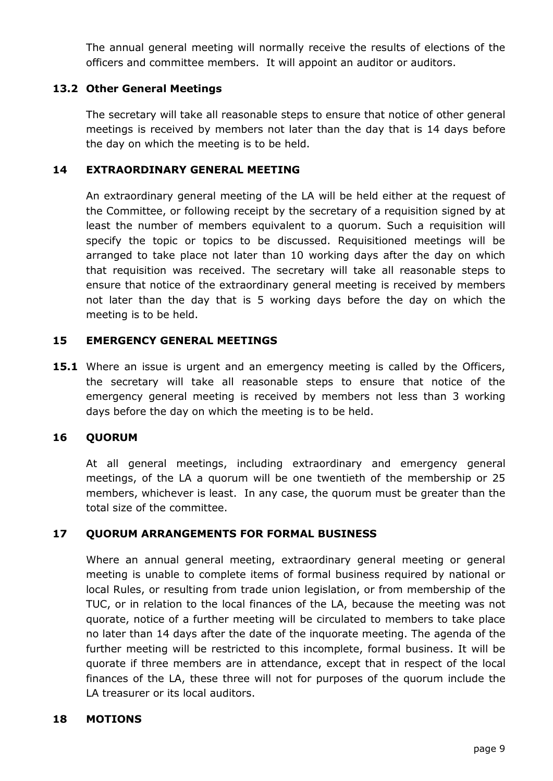The annual general meeting will normally receive the results of elections of the officers and committee members. It will appoint an auditor or auditors.

## **13.2 Other General Meetings**

The secretary will take all reasonable steps to ensure that notice of other general meetings is received by members not later than the day that is 14 days before the day on which the meeting is to be held.

### **14 EXTRAORDINARY GENERAL MEETING**

An extraordinary general meeting of the LA will be held either at the request of the Committee, or following receipt by the secretary of a requisition signed by at least the number of members equivalent to a quorum. Such a requisition will specify the topic or topics to be discussed. Requisitioned meetings will be arranged to take place not later than 10 working days after the day on which that requisition was received. The secretary will take all reasonable steps to ensure that notice of the extraordinary general meeting is received by members not later than the day that is 5 working days before the day on which the meeting is to be held.

### **15 EMERGENCY GENERAL MEETINGS**

**15.1** Where an issue is urgent and an emergency meeting is called by the Officers, the secretary will take all reasonable steps to ensure that notice of the emergency general meeting is received by members not less than 3 working days before the day on which the meeting is to be held.

#### **16 QUORUM**

At all general meetings, including extraordinary and emergency general meetings, of the LA a quorum will be one twentieth of the membership or 25 members, whichever is least. In any case, the quorum must be greater than the total size of the committee.

## **17 QUORUM ARRANGEMENTS FOR FORMAL BUSINESS**

Where an annual general meeting, extraordinary general meeting or general meeting is unable to complete items of formal business required by national or local Rules, or resulting from trade union legislation, or from membership of the TUC, or in relation to the local finances of the LA, because the meeting was not quorate, notice of a further meeting will be circulated to members to take place no later than 14 days after the date of the inquorate meeting. The agenda of the further meeting will be restricted to this incomplete, formal business. It will be quorate if three members are in attendance, except that in respect of the local finances of the LA, these three will not for purposes of the quorum include the LA treasurer or its local auditors.

#### **18 MOTIONS**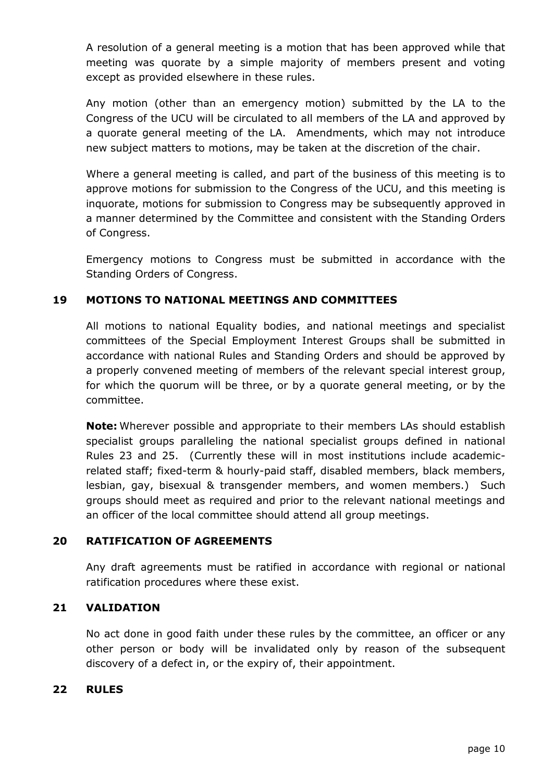A resolution of a general meeting is a motion that has been approved while that meeting was quorate by a simple majority of members present and voting except as provided elsewhere in these rules.

Any motion (other than an emergency motion) submitted by the LA to the Congress of the UCU will be circulated to all members of the LA and approved by a quorate general meeting of the LA. Amendments, which may not introduce new subject matters to motions, may be taken at the discretion of the chair.

Where a general meeting is called, and part of the business of this meeting is to approve motions for submission to the Congress of the UCU, and this meeting is inquorate, motions for submission to Congress may be subsequently approved in a manner determined by the Committee and consistent with the Standing Orders of Congress.

Emergency motions to Congress must be submitted in accordance with the Standing Orders of Congress.

## **19 MOTIONS TO NATIONAL MEETINGS AND COMMITTEES**

All motions to national Equality bodies, and national meetings and specialist committees of the Special Employment Interest Groups shall be submitted in accordance with national Rules and Standing Orders and should be approved by a properly convened meeting of members of the relevant special interest group, for which the quorum will be three, or by a quorate general meeting, or by the committee.

**Note:** Wherever possible and appropriate to their members LAs should establish specialist groups paralleling the national specialist groups defined in national Rules 23 and 25. (Currently these will in most institutions include academicrelated staff; fixed-term & hourly-paid staff, disabled members, black members, lesbian, gay, bisexual & transgender members, and women members.) Such groups should meet as required and prior to the relevant national meetings and an officer of the local committee should attend all group meetings.

## **20 RATIFICATION OF AGREEMENTS**

Any draft agreements must be ratified in accordance with regional or national ratification procedures where these exist.

## **21 VALIDATION**

No act done in good faith under these rules by the committee, an officer or any other person or body will be invalidated only by reason of the subsequent discovery of a defect in, or the expiry of, their appointment.

## **22 RULES**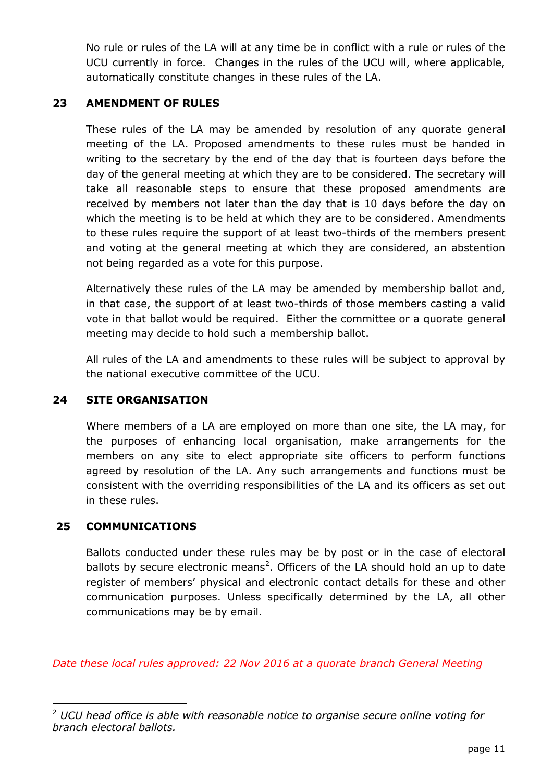No rule or rules of the LA will at any time be in conflict with a rule or rules of the UCU currently in force. Changes in the rules of the UCU will, where applicable, automatically constitute changes in these rules of the LA.

## **23 AMENDMENT OF RULES**

These rules of the LA may be amended by resolution of any quorate general meeting of the LA. Proposed amendments to these rules must be handed in writing to the secretary by the end of the day that is fourteen days before the day of the general meeting at which they are to be considered. The secretary will take all reasonable steps to ensure that these proposed amendments are received by members not later than the day that is 10 days before the day on which the meeting is to be held at which they are to be considered. Amendments to these rules require the support of at least two-thirds of the members present and voting at the general meeting at which they are considered, an abstention not being regarded as a vote for this purpose.

Alternatively these rules of the LA may be amended by membership ballot and, in that case, the support of at least two-thirds of those members casting a valid vote in that ballot would be required. Either the committee or a quorate general meeting may decide to hold such a membership ballot.

All rules of the LA and amendments to these rules will be subject to approval by the national executive committee of the UCU.

#### **24 SITE ORGANISATION**

Where members of a LA are employed on more than one site, the LA may, for the purposes of enhancing local organisation, make arrangements for the members on any site to elect appropriate site officers to perform functions agreed by resolution of the LA. Any such arrangements and functions must be consistent with the overriding responsibilities of the LA and its officers as set out in these rules.

## **25 COMMUNICATIONS**

-

Ballots conducted under these rules may be by post or in the case of electoral ballots by secure electronic means<sup>2</sup>. Officers of the LA should hold an up to date register of members' physical and electronic contact details for these and other communication purposes. Unless specifically determined by the LA, all other communications may be by email.

*Date these local rules approved: 22 Nov 2016 at a quorate branch General Meeting*

<sup>2</sup> *UCU head office is able with reasonable notice to organise secure online voting for branch electoral ballots.*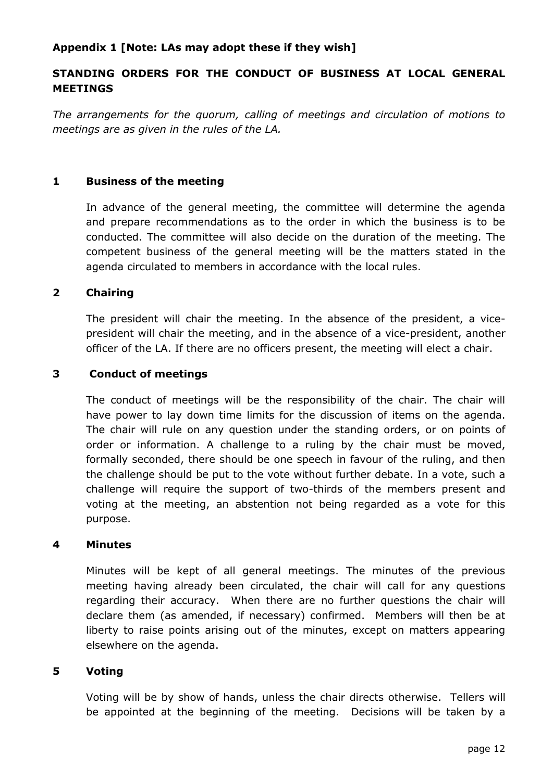### **Appendix 1 [Note: LAs may adopt these if they wish]**

# **STANDING ORDERS FOR THE CONDUCT OF BUSINESS AT LOCAL GENERAL MEETINGS**

*The arrangements for the quorum, calling of meetings and circulation of motions to meetings are as given in the rules of the LA.* 

#### **1 Business of the meeting**

In advance of the general meeting, the committee will determine the agenda and prepare recommendations as to the order in which the business is to be conducted. The committee will also decide on the duration of the meeting. The competent business of the general meeting will be the matters stated in the agenda circulated to members in accordance with the local rules.

#### **2 Chairing**

The president will chair the meeting. In the absence of the president, a vicepresident will chair the meeting, and in the absence of a vice-president, another officer of the LA. If there are no officers present, the meeting will elect a chair.

#### **3 Conduct of meetings**

The conduct of meetings will be the responsibility of the chair. The chair will have power to lay down time limits for the discussion of items on the agenda. The chair will rule on any question under the standing orders, or on points of order or information. A challenge to a ruling by the chair must be moved, formally seconded, there should be one speech in favour of the ruling, and then the challenge should be put to the vote without further debate. In a vote, such a challenge will require the support of two-thirds of the members present and voting at the meeting, an abstention not being regarded as a vote for this purpose.

#### **4 Minutes**

Minutes will be kept of all general meetings. The minutes of the previous meeting having already been circulated, the chair will call for any questions regarding their accuracy. When there are no further questions the chair will declare them (as amended, if necessary) confirmed. Members will then be at liberty to raise points arising out of the minutes, except on matters appearing elsewhere on the agenda.

#### **5 Voting**

Voting will be by show of hands, unless the chair directs otherwise. Tellers will be appointed at the beginning of the meeting. Decisions will be taken by a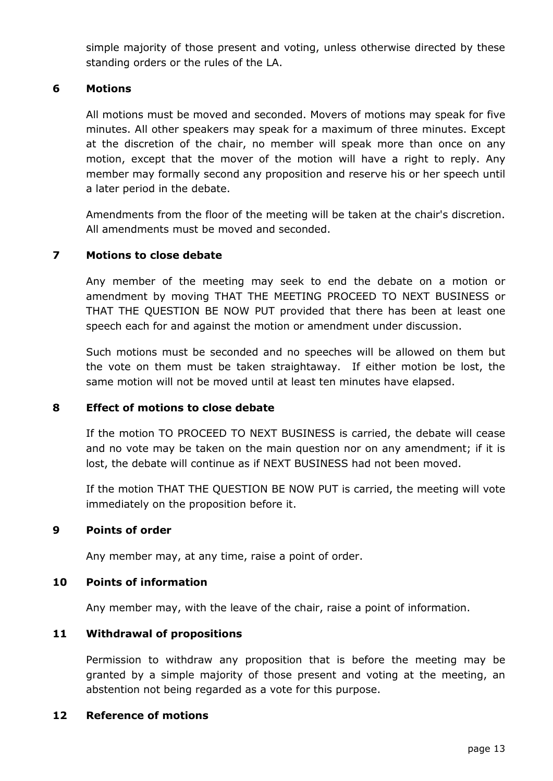simple majority of those present and voting, unless otherwise directed by these standing orders or the rules of the LA.

### **6 Motions**

All motions must be moved and seconded. Movers of motions may speak for five minutes. All other speakers may speak for a maximum of three minutes. Except at the discretion of the chair, no member will speak more than once on any motion, except that the mover of the motion will have a right to reply. Any member may formally second any proposition and reserve his or her speech until a later period in the debate.

Amendments from the floor of the meeting will be taken at the chair's discretion. All amendments must be moved and seconded.

### **7 Motions to close debate**

Any member of the meeting may seek to end the debate on a motion or amendment by moving THAT THE MEETING PROCEED TO NEXT BUSINESS or THAT THE QUESTION BE NOW PUT provided that there has been at least one speech each for and against the motion or amendment under discussion.

Such motions must be seconded and no speeches will be allowed on them but the vote on them must be taken straightaway. If either motion be lost, the same motion will not be moved until at least ten minutes have elapsed.

#### **8 Effect of motions to close debate**

If the motion TO PROCEED TO NEXT BUSINESS is carried, the debate will cease and no vote may be taken on the main question nor on any amendment; if it is lost, the debate will continue as if NEXT BUSINESS had not been moved.

If the motion THAT THE QUESTION BE NOW PUT is carried, the meeting will vote immediately on the proposition before it.

#### **9 Points of order**

Any member may, at any time, raise a point of order.

#### **10 Points of information**

Any member may, with the leave of the chair, raise a point of information.

#### **11 Withdrawal of propositions**

Permission to withdraw any proposition that is before the meeting may be granted by a simple majority of those present and voting at the meeting, an abstention not being regarded as a vote for this purpose.

### **12 Reference of motions**